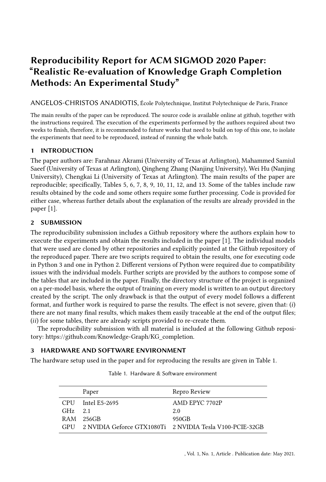# Reproducibility Report for ACM SIGMOD 2020 Paper: "Realistic Re-evaluation of Knowledge Graph Completion Methods: An Experimental Study"

ANGELOS-CHRISTOS ANADIOTIS, École Polytechnique, Institut Polytechnique de Paris, France

The main results of the paper can be reproduced. The source code is available online at github, together with the instructions required. The execution of the experiments performed by the authors required about two weeks to finish, therefore, it is recommended to future works that need to build on top of this one, to isolate the experiments that need to be reproduced, instead of running the whole batch.

## 1 INTRODUCTION

The paper authors are: Farahnaz Akrami (University of Texas at Arlington), Mahammed Samiul Saeef (University of Texas at Arlington), Qingheng Zhang (Nanjing University), Wei Hu (Nanjing University), Chengkai Li (University of Texas at Arlington). The main results of the paper are reproducible; specifically, Tables 5, 6, 7, 8, 9, 10, 11, 12, and 13. Some of the tables include raw results obtained by the code and some others require some further processing. Code is provided for either case, whereas further details about the explanation of the results are already provided in the paper [\[1\]](#page-1-0).

## 2 SUBMISSION

The reproducibility submission includes a Github repository where the authors explain how to execute the experiments and obtain the results included in the paper [\[1\]](#page-1-0). The individual models that were used are cloned by other repositories and explicitly pointed at the Github repository of the reproduced paper. There are two scripts required to obtain the results, one for executing code in Python 3 and one in Python 2. Different versions of Python were required due to compatibility issues with the individual models. Further scripts are provided by the authors to compose some of the tables that are included in the paper. Finally, the directory structure of the project is organized on a per-model basis, where the output of training on every model is written to an output directory created by the script. The only drawback is that the output of every model follows a different format, and further work is required to parse the results. The effect is not severe, given that: (i) there are not many final results, which makes them easily traceable at the end of the output files; (ii) for some tables, there are already scripts provided to re-create them.

The reproducibility submission with all material is included at the following Github repository: [https://github.com/Knowledge-Graph/KG\\_completion.](https://github.com/Knowledge-Graph/KG_completion)

# 3 HARDWARE AND SOFTWARE ENVIRONMENT

<span id="page-0-0"></span>The hardware setup used in the paper and for reproducing the results are given in Table [1.](#page-0-0)

|           | Paper             | Repro Review                                                 |
|-----------|-------------------|--------------------------------------------------------------|
|           | CPU Intel E5-2695 | AMD EPYC 7702P                                               |
| $GHz$ 2.1 |                   | 2.0                                                          |
|           | RAM 256GB         | 950GB                                                        |
|           |                   | GPU 2 NVIDIA Geforce GTX1080Ti 2 NVIDIA Tesla V100-PCIE-32GB |

|  |  | Table 1. Hardware & Software environment |
|--|--|------------------------------------------|
|  |  |                                          |